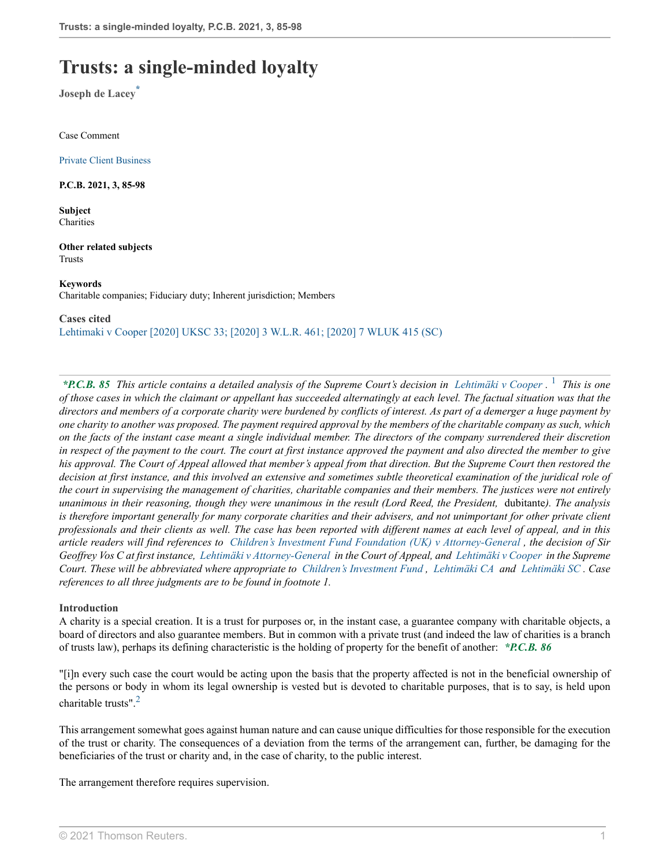# **Trusts: a single-minded loyalty**

**Joseph de Lacey\***

Case Comment

[Private Client Business](http://uk.westlaw.com/WestlawUk/Journals/Publications/Private-Client-Business?contextData=(sc.Search))

**P.C.B. 2021, 3, 85-98**

**Subject Charities** 

**Other related subjects** Trusts

**Keywords** Charitable companies; Fiduciary duty; Inherent jurisdiction; Members

**Cases cited** [Lehtimaki v Cooper \[2020\] UKSC 33; \[2020\] 3 W.L.R. 461; \[2020\] 7 WLUK 415 \(SC\)](http://uk.westlaw.com/Document/IC5AF2C40D19711EABFC1E47CD76B7CE5/View/FullText.html?originationContext=document&transitionType=DocumentItem&vr=3.0&rs=PLUK1.0&contextData=(sc.Search))

<span id="page-0-0"></span>*\*P.C.B. 85 This article contains a detailed analysis of the Supreme Court's decision in [Lehtimäki v Cooper](http://uk.westlaw.com/Document/IC5AF2C40D19711EABFC1E47CD76B7CE5/View/FullText.html?originationContext=document&transitionType=DocumentItem&vr=3.0&rs=PLUK1.0&contextData=(sc.Search)) .* [1](#page-10-0)  *This is one of those cases in which the claimant or appellant has succeeded alternatingly at each level. The factual situation was that the directors and members of a corporate charity were burdened by conflicts of interest. As part of a demerger a huge payment by one charity to another was proposed. The payment required approval by the members of the charitable company as such, which on the facts of the instant case meant a single individual member. The directors of the company surrendered their discretion in respect of the payment to the court. The court at first instance approved the payment and also directed the member to give his approval. The Court of Appeal allowed that member's appeal from that direction. But the Supreme Court then restored the decision at first instance, and this involved an extensive and sometimes subtle theoretical examination of the juridical role of the court in supervising the management of charities, charitable companies and their members. The justices were not entirely unanimous in their reasoning, though they were unanimous in the result (Lord Reed, the President,* dubitante*). The analysis is therefore important generally for many corporate charities and their advisers, and not unimportant for other private client professionals and their clients as well. The case has been reported with different names at each level of appeal, and in this article readers will find references to [Children's Investment Fund Foundation \(UK\) v Attorney-General](http://uk.westlaw.com/Document/IE6004B904F4B11E7968EE44463F4D839/View/FullText.html?originationContext=document&transitionType=DocumentItem&vr=3.0&rs=PLUK1.0&contextData=(sc.Search)) , the decision of Sir Geoffrey Vos C at first instance, [Lehtimäki v Attorney-General](http://uk.westlaw.com/Document/I39A5F470810F11E8A91CCBA431042A5A/View/FullText.html?originationContext=document&transitionType=DocumentItem&vr=3.0&rs=PLUK1.0&contextData=(sc.Search)) in the Court of Appeal, and [Lehtimäki v Cooper](http://uk.westlaw.com/Document/IC5AF2C40D19711EABFC1E47CD76B7CE5/View/FullText.html?originationContext=document&transitionType=DocumentItem&vr=3.0&rs=PLUK1.0&contextData=(sc.Search)) in the Supreme Court. These will be abbreviated where appropriate to [Children's Investment Fund](http://uk.westlaw.com/Document/IE6004B904F4B11E7968EE44463F4D839/View/FullText.html?originationContext=document&transitionType=DocumentItem&vr=3.0&rs=PLUK1.0&contextData=(sc.Search)) , [Lehtimäki CA](http://uk.westlaw.com/Document/I39A5F470810F11E8A91CCBA431042A5A/View/FullText.html?originationContext=document&transitionType=DocumentItem&vr=3.0&rs=PLUK1.0&contextData=(sc.Search)) and [Lehtimäki SC](http://uk.westlaw.com/Document/IC5AF2C40D19711EABFC1E47CD76B7CE5/View/FullText.html?originationContext=document&transitionType=DocumentItem&vr=3.0&rs=PLUK1.0&contextData=(sc.Search)) . Case references to all three judgments are to be found in footnote 1.*

#### **Introduction**

A charity is a special creation. It is a trust for purposes or, in the instant case, a guarantee company with charitable objects, a board of directors and also guarantee members. But in common with a private trust (and indeed the law of charities is a branch of trusts law), perhaps its defining characteristic is the holding of property for the benefit of another: *\*P.C.B. 86*

<span id="page-0-1"></span>"[i]n every such case the court would be acting upon the basis that the property affected is not in the beneficial ownership of the persons or body in whom its legal ownership is vested but is devoted to charitable purposes, that is to say, is held upon charitable trusts".[2](#page-10-1)

This arrangement somewhat goes against human nature and can cause unique difficulties for those responsible for the execution of the trust or charity. The consequences of a deviation from the terms of the arrangement can, further, be damaging for the beneficiaries of the trust or charity and, in the case of charity, to the public interest.

The arrangement therefore requires supervision.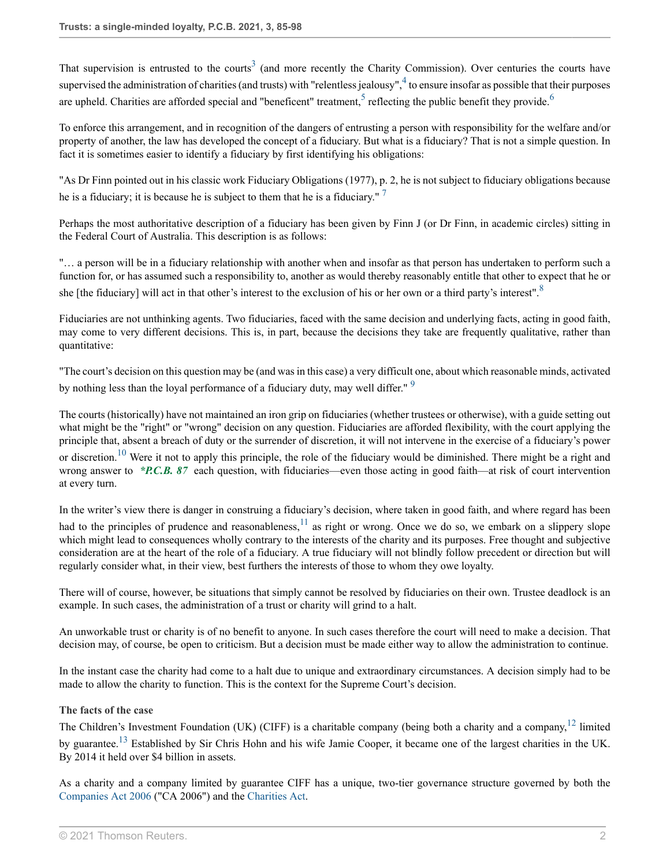<span id="page-1-3"></span><span id="page-1-2"></span><span id="page-1-1"></span><span id="page-1-0"></span>That supervision is entrusted to the courts<sup>[3](#page-11-0)</sup> (and more recently the Charity Commission). Over centuries the courts have supervised the administration of charities (and trusts) with "relentless jealousy",  $4$  to ensure insofar as possible that their purposes are upheld. Charities are afforded special and "beneficent" treatment,  $5$  reflecting the public benefit they provide.  $6$ 

To enforce this arrangement, and in recognition of the dangers of entrusting a person with responsibility for the welfare and/or property of another, the law has developed the concept of a fiduciary. But what is a fiduciary? That is not a simple question. In fact it is sometimes easier to identify a fiduciary by first identifying his obligations:

<span id="page-1-4"></span>"As Dr Finn pointed out in his classic work Fiduciary Obligations (1977), p. 2, he is not subject to fiduciary obligations because he is a fiduciary; it is because he is subject to them that he is a fiduciary."  $7$ 

Perhaps the most authoritative description of a fiduciary has been given by Finn J (or Dr Finn, in academic circles) sitting in the Federal Court of Australia. This description is as follows:

<span id="page-1-5"></span>"… a person will be in a fiduciary relationship with another when and insofar as that person has undertaken to perform such a function for, or has assumed such a responsibility to, another as would thereby reasonably entitle that other to expect that he or she [the fiduciary] will act in that other's interest to the exclusion of his or her own or a third party's interest".<sup>[8](#page-11-5)</sup>

Fiduciaries are not unthinking agents. Two fiduciaries, faced with the same decision and underlying facts, acting in good faith, may come to very different decisions. This is, in part, because the decisions they take are frequently qualitative, rather than quantitative:

<span id="page-1-6"></span>"The court's decision on this question may be (and was in this case) a very difficult one, about which reasonable minds, activated by nothing less than the loyal performance of a fiduciary duty, may well differ."<sup>[9](#page-11-6)</sup>

<span id="page-1-7"></span>The courts (historically) have not maintained an iron grip on fiduciaries (whether trustees or otherwise), with a guide setting out what might be the "right" or "wrong" decision on any question. Fiduciaries are afforded flexibility, with the court applying the principle that, absent a breach of duty or the surrender of discretion, it will not intervene in the exercise of a fiduciary's power or discretion.<sup>[10](#page-11-7)</sup> Were it not to apply this principle, the role of the fiduciary would be diminished. There might be a right and wrong answer to *\*P.C.B. 87* each question, with fiduciaries—even those acting in good faith—at risk of court intervention at every turn.

In the writer's view there is danger in construing a fiduciary's decision, where taken in good faith, and where regard has been

<span id="page-1-8"></span>had to the principles of prudence and reasonableness, $11$  as right or wrong. Once we do so, we embark on a slippery slope which might lead to consequences wholly contrary to the interests of the charity and its purposes. Free thought and subjective consideration are at the heart of the role of a fiduciary. A true fiduciary will not blindly follow precedent or direction but will regularly consider what, in their view, best furthers the interests of those to whom they owe loyalty.

There will of course, however, be situations that simply cannot be resolved by fiduciaries on their own. Trustee deadlock is an example. In such cases, the administration of a trust or charity will grind to a halt.

An unworkable trust or charity is of no benefit to anyone. In such cases therefore the court will need to make a decision. That decision may, of course, be open to criticism. But a decision must be made either way to allow the administration to continue.

In the instant case the charity had come to a halt due to unique and extraordinary circumstances. A decision simply had to be made to allow the charity to function. This is the context for the Supreme Court's decision.

# **The facts of the case**

<span id="page-1-10"></span><span id="page-1-9"></span>The Children's Investment Foundation (UK) (CIFF) is a charitable company (being both a charity and a company,<sup>[12](#page-11-9)</sup> limited by guarantee.[13](#page-11-10) Established by Sir Chris Hohn and his wife Jamie Cooper, it became one of the largest charities in the UK. By 2014 it held over \$4 billion in assets.

As a charity and a company limited by guarantee CIFF has a unique, two-tier governance structure governed by both the [Companies Act 2006](http://uk.westlaw.com/Document/I67088A508B0211DBB4C6A18EEE1C8BDD/View/FullText.html?originationContext=document&transitionType=DocumentItem&vr=3.0&rs=PLUK1.0&contextData=(sc.Search)) ("CA 2006") and the [Charities Act](http://uk.westlaw.com/Document/I6DC8D490286D11E1AB96C6B9D162ADDD/View/FullText.html?originationContext=document&transitionType=DocumentItem&vr=3.0&rs=PLUK1.0&contextData=(sc.Search)).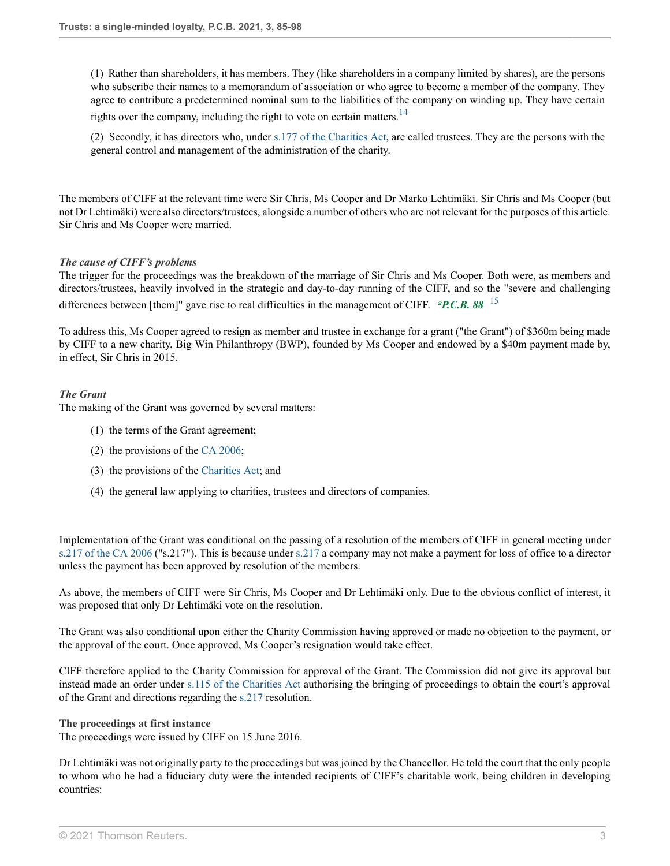(1) Rather than shareholders, it has members. They (like shareholders in a company limited by shares), are the persons who subscribe their names to a memorandum of association or who agree to become a member of the company. They agree to contribute a predetermined nominal sum to the liabilities of the company on winding up. They have certain rights over the company, including the right to vote on certain matters.<sup>[14](#page-11-11)</sup>

<span id="page-2-0"></span>(2) Secondly, it has directors who, under [s.177 of the Charities Act](http://uk.westlaw.com/Document/IDC552763286D11E1A263D5C4404A2137/View/FullText.html?originationContext=document&transitionType=DocumentItem&vr=3.0&rs=PLUK1.0&contextData=(sc.Search)), are called trustees. They are the persons with the general control and management of the administration of the charity.

The members of CIFF at the relevant time were Sir Chris, Ms Cooper and Dr Marko Lehtimäki. Sir Chris and Ms Cooper (but not Dr Lehtimäki) were also directors/trustees, alongside a number of others who are not relevant for the purposes of this article. Sir Chris and Ms Cooper were married.

#### *The cause of CIFF's problems*

The trigger for the proceedings was the breakdown of the marriage of Sir Chris and Ms Cooper. Both were, as members and directors/trustees, heavily involved in the strategic and day-to-day running of the CIFF, and so the "severe and challenging differences between [them]" gave rise to real difficulties in the management of CIFF. *\*P.C.B. 88* [15](#page-11-12)

To address this, Ms Cooper agreed to resign as member and trustee in exchange for a grant ("the Grant") of \$360m being made by CIFF to a new charity, Big Win Philanthropy (BWP), founded by Ms Cooper and endowed by a \$40m payment made by, in effect, Sir Chris in 2015.

#### *The Grant*

The making of the Grant was governed by several matters:

- <span id="page-2-1"></span>(1) the terms of the Grant agreement;
- (2) the provisions of the [CA 2006](http://uk.westlaw.com/Document/I67088A508B0211DBB4C6A18EEE1C8BDD/View/FullText.html?originationContext=document&transitionType=DocumentItem&vr=3.0&rs=PLUK1.0&contextData=(sc.Search));
- (3) the provisions of the [Charities Act](http://uk.westlaw.com/Document/I6DC8D490286D11E1AB96C6B9D162ADDD/View/FullText.html?originationContext=document&transitionType=DocumentItem&vr=3.0&rs=PLUK1.0&contextData=(sc.Search)); and
- (4) the general law applying to charities, trustees and directors of companies.

Implementation of the Grant was conditional on the passing of a resolution of the members of CIFF in general meeting under [s.217 of the CA 2006](http://uk.westlaw.com/Document/I5C09CA208B3311DBA1DB80994EEB92DE/View/FullText.html?originationContext=document&transitionType=DocumentItem&vr=3.0&rs=PLUK1.0&contextData=(sc.Search)) ("s.217"). This is because under [s.217](http://uk.westlaw.com/Document/I5C09CA208B3311DBA1DB80994EEB92DE/View/FullText.html?originationContext=document&transitionType=DocumentItem&vr=3.0&rs=PLUK1.0&contextData=(sc.Search)) a company may not make a payment for loss of office to a director unless the payment has been approved by resolution of the members.

As above, the members of CIFF were Sir Chris, Ms Cooper and Dr Lehtimäki only. Due to the obvious conflict of interest, it was proposed that only Dr Lehtimäki vote on the resolution.

The Grant was also conditional upon either the Charity Commission having approved or made no objection to the payment, or the approval of the court. Once approved, Ms Cooper's resignation would take effect.

CIFF therefore applied to the Charity Commission for approval of the Grant. The Commission did not give its approval but instead made an order under [s.115 of the Charities Act](http://uk.westlaw.com/Document/IDC4AA011286D11E1A263D5C4404A2137/View/FullText.html?originationContext=document&transitionType=DocumentItem&vr=3.0&rs=PLUK1.0&contextData=(sc.Search)) authorising the bringing of proceedings to obtain the court's approval of the Grant and directions regarding the [s.217](http://uk.westlaw.com/Document/IDC6B4770286D11E1A263D5C4404A2137/View/FullText.html?originationContext=document&transitionType=DocumentItem&vr=3.0&rs=PLUK1.0&contextData=(sc.Search)) resolution.

**The proceedings at first instance**

The proceedings were issued by CIFF on 15 June 2016.

Dr Lehtimäki was not originally party to the proceedings but was joined by the Chancellor. He told the court that the only people to whom who he had a fiduciary duty were the intended recipients of CIFF's charitable work, being children in developing countries: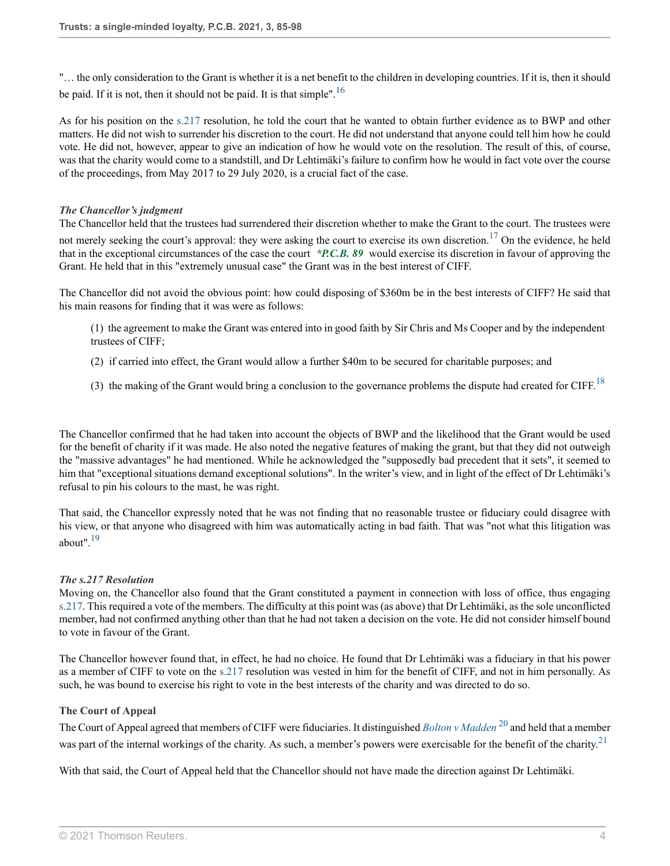<span id="page-3-0"></span>"… the only consideration to the Grant is whether it is a net benefit to the children in developing countries. If it is, then it should be paid. If it is not, then it should not be paid. It is that simple".<sup>[16](#page-11-13)</sup>

As for his position on the [s.217](http://uk.westlaw.com/Document/I5C09CA208B3311DBA1DB80994EEB92DE/View/FullText.html?originationContext=document&transitionType=DocumentItem&vr=3.0&rs=PLUK1.0&contextData=(sc.Search)) resolution, he told the court that he wanted to obtain further evidence as to BWP and other matters. He did not wish to surrender his discretion to the court. He did not understand that anyone could tell him how he could vote. He did not, however, appear to give an indication of how he would vote on the resolution. The result of this, of course, was that the charity would come to a standstill, and Dr Lehtimäki's failure to confirm how he would in fact vote over the course of the proceedings, from May 2017 to 29 July 2020, is a crucial fact of the case.

#### *The Chancellor's judgment*

The Chancellor held that the trustees had surrendered their discretion whether to make the Grant to the court. The trustees were not merely seeking the court's approval: they were asking the court to exercise its own discretion.<sup>[17](#page-11-14)</sup> On the evidence, he held that in the exceptional circumstances of the case the court *\*P.C.B. 89* would exercise its discretion in favour of approving the Grant. He held that in this "extremely unusual case" the Grant was in the best interest of CIFF.

The Chancellor did not avoid the obvious point: how could disposing of \$360m be in the best interests of CIFF? He said that his main reasons for finding that it was were as follows:

<span id="page-3-1"></span>(1) the agreement to make the Grant was entered into in good faith by Sir Chris and Ms Cooper and by the independent trustees of CIFF;

- (2) if carried into effect, the Grant would allow a further \$40m to be secured for charitable purposes; and
- <span id="page-3-2"></span>(3) the making of the Grant would bring a conclusion to the governance problems the dispute had created for CIFF.<sup>[18](#page-11-15)</sup>

The Chancellor confirmed that he had taken into account the objects of BWP and the likelihood that the Grant would be used for the benefit of charity if it was made. He also noted the negative features of making the grant, but that they did not outweigh the "massive advantages" he had mentioned. While he acknowledged the "supposedly bad precedent that it sets", it seemed to him that "exceptional situations demand exceptional solutions". In the writer's view, and in light of the effect of Dr Lehtimäki's refusal to pin his colours to the mast, he was right.

<span id="page-3-3"></span>That said, the Chancellor expressly noted that he was not finding that no reasonable trustee or fiduciary could disagree with his view, or that anyone who disagreed with him was automatically acting in bad faith. That was "not what this litigation was about".[19](#page-11-16)

#### *The s.217 Resolution*

Moving on, the Chancellor also found that the Grant constituted a payment in connection with loss of office, thus engaging [s.217](http://uk.westlaw.com/Document/I5C09CA208B3311DBA1DB80994EEB92DE/View/FullText.html?originationContext=document&transitionType=DocumentItem&vr=3.0&rs=PLUK1.0&contextData=(sc.Search)). This required a vote of the members. The difficulty at this point was (as above) that Dr Lehtimäki, as the sole unconflicted member, had not confirmed anything other than that he had not taken a decision on the vote. He did not consider himself bound to vote in favour of the Grant.

The Chancellor however found that, in effect, he had no choice. He found that Dr Lehtimäki was a fiduciary in that his power as a member of CIFF to vote on the [s.217](http://uk.westlaw.com/Document/I5C09CA208B3311DBA1DB80994EEB92DE/View/FullText.html?originationContext=document&transitionType=DocumentItem&vr=3.0&rs=PLUK1.0&contextData=(sc.Search)) resolution was vested in him for the benefit of CIFF, and not in him personally. As such, he was bound to exercise his right to vote in the best interests of the charity and was directed to do so.

#### **The Court of Appeal**

<span id="page-3-5"></span><span id="page-3-4"></span>The Court of Appeal agreed that members of CIFF were fiduciaries. It distinguished *[Bolton v Madden](http://uk.westlaw.com/Document/I766503C0E42711DA8FC2A0F0355337E9/View/FullText.html?originationContext=document&transitionType=DocumentItem&vr=3.0&rs=PLUK1.0&contextData=(sc.Search))* [20](#page-11-17) and held that a member was part of the internal workings of the charity. As such, a member's powers were exercisable for the benefit of the charity.<sup>[21](#page-12-0)</sup>

With that said, the Court of Appeal held that the Chancellor should not have made the direction against Dr Lehtimäki.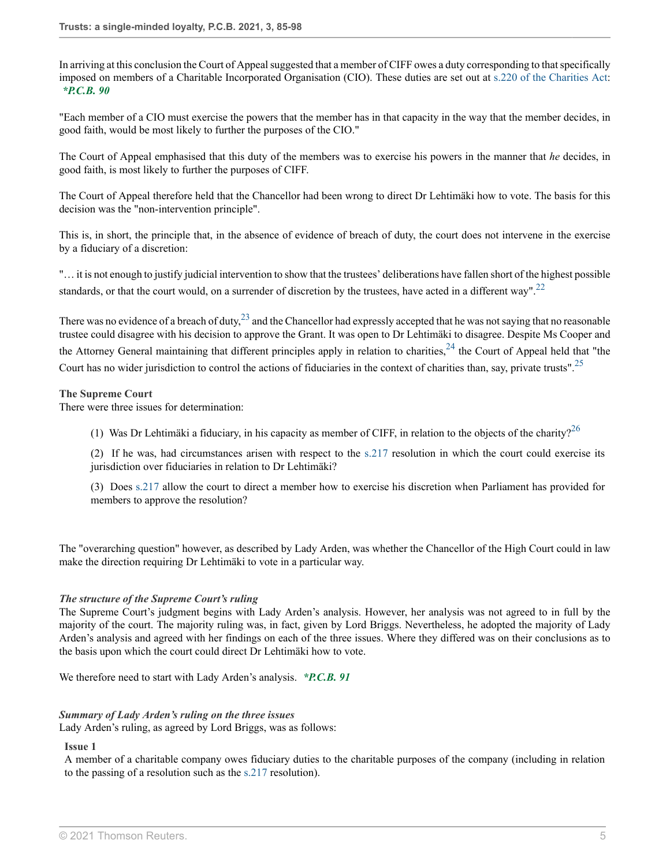In arriving at this conclusion the Court of Appeal suggested that a member of CIFF owes a duty corresponding to that specifically imposed on members of a Charitable Incorporated Organisation (CIO). These duties are set out at [s.220 of the Charities Act](http://uk.westlaw.com/Document/IDC6B6E82286D11E1A263D5C4404A2137/View/FullText.html?originationContext=document&transitionType=DocumentItem&vr=3.0&rs=PLUK1.0&contextData=(sc.Search)): *\*P.C.B. 90*

"Each member of a CIO must exercise the powers that the member has in that capacity in the way that the member decides, in good faith, would be most likely to further the purposes of the CIO."

The Court of Appeal emphasised that this duty of the members was to exercise his powers in the manner that *he* decides, in good faith, is most likely to further the purposes of CIFF.

The Court of Appeal therefore held that the Chancellor had been wrong to direct Dr Lehtimäki how to vote. The basis for this decision was the "non-intervention principle".

This is, in short, the principle that, in the absence of evidence of breach of duty, the court does not intervene in the exercise by a fiduciary of a discretion:

"… it is not enough to justify judicial intervention to show that the trustees' deliberations have fallen short of the highest possible standards, or that the court would, on a surrender of discretion by the trustees, have acted in a different way".<sup>[22](#page-12-1)</sup>

<span id="page-4-1"></span>There was no evidence of a breach of duty,  $^{23}$  $^{23}$  $^{23}$  and the Chancellor had expressly accepted that he was not saying that no reasonable trustee could disagree with his decision to approve the Grant. It was open to Dr Lehtimäki to disagree. Despite Ms Cooper and the Attorney General maintaining that different principles apply in relation to charities,  $24$  the Court of Appeal held that "the Court has no wider jurisdiction to control the actions of fiduciaries in the context of charities than, say, private trusts".[25](#page-12-4)

#### **The Supreme Court**

There were three issues for determination:

<span id="page-4-4"></span><span id="page-4-3"></span><span id="page-4-2"></span><span id="page-4-0"></span>(1) Was Dr Lehtimäki a fiduciary, in his capacity as member of CIFF, in relation to the objects of the charity?<sup>[26](#page-12-5)</sup>

(2) If he was, had circumstances arisen with respect to the [s.217](http://uk.westlaw.com/Document/I5C09CA208B3311DBA1DB80994EEB92DE/View/FullText.html?originationContext=document&transitionType=DocumentItem&vr=3.0&rs=PLUK1.0&contextData=(sc.Search)) resolution in which the court could exercise its jurisdiction over fiduciaries in relation to Dr Lehtimäki?

(3) Does [s.217](http://uk.westlaw.com/Document/I5C09CA208B3311DBA1DB80994EEB92DE/View/FullText.html?originationContext=document&transitionType=DocumentItem&vr=3.0&rs=PLUK1.0&contextData=(sc.Search)) allow the court to direct a member how to exercise his discretion when Parliament has provided for members to approve the resolution?

The "overarching question" however, as described by Lady Arden, was whether the Chancellor of the High Court could in law make the direction requiring Dr Lehtimäki to vote in a particular way.

#### *The structure of the Supreme Court's ruling*

The Supreme Court's judgment begins with Lady Arden's analysis. However, her analysis was not agreed to in full by the majority of the court. The majority ruling was, in fact, given by Lord Briggs. Nevertheless, he adopted the majority of Lady Arden's analysis and agreed with her findings on each of the three issues. Where they differed was on their conclusions as to the basis upon which the court could direct Dr Lehtimäki how to vote.

We therefore need to start with Lady Arden's analysis. *\*P.C.B. 91*

#### *Summary of Lady Arden's ruling on the three issues* Lady Arden's ruling, as agreed by Lord Briggs, was as follows:

#### **Issue 1**

A member of a charitable company owes fiduciary duties to the charitable purposes of the company (including in relation to the passing of a resolution such as the [s.217](http://uk.westlaw.com/Document/I5C09CA208B3311DBA1DB80994EEB92DE/View/FullText.html?originationContext=document&transitionType=DocumentItem&vr=3.0&rs=PLUK1.0&contextData=(sc.Search)) resolution).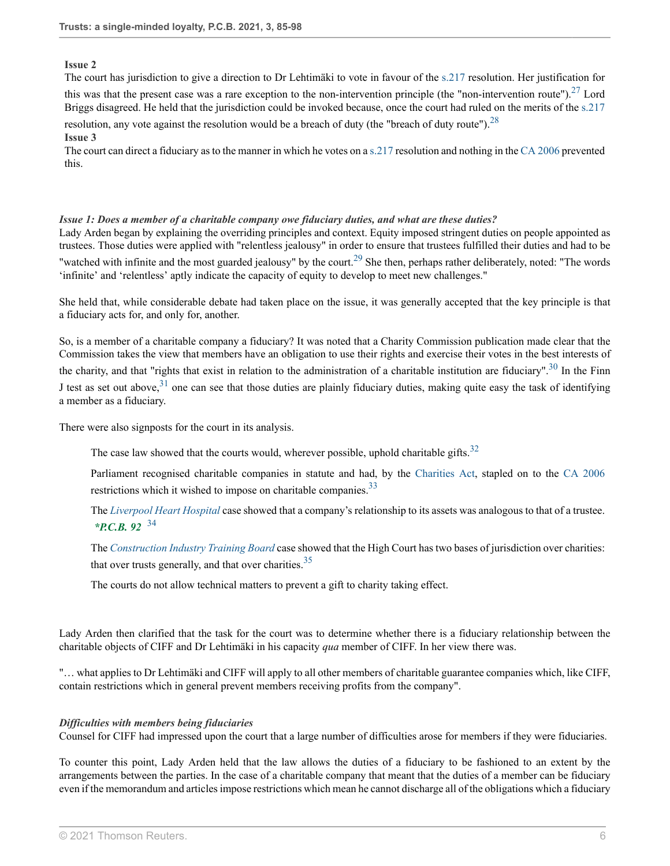## <span id="page-5-0"></span>**Issue 2**

The court has jurisdiction to give a direction to Dr Lehtimäki to vote in favour of the [s.217](http://uk.westlaw.com/Document/I5C09CA208B3311DBA1DB80994EEB92DE/View/FullText.html?originationContext=document&transitionType=DocumentItem&vr=3.0&rs=PLUK1.0&contextData=(sc.Search)) resolution. Her justification for

this was that the present case was a rare exception to the non-intervention principle (the "non-intervention route").  $27$  Lord Briggs disagreed. He held that the jurisdiction could be invoked because, once the court had ruled on the merits of the [s.217](http://uk.westlaw.com/Document/I5C09CA208B3311DBA1DB80994EEB92DE/View/FullText.html?originationContext=document&transitionType=DocumentItem&vr=3.0&rs=PLUK1.0&contextData=(sc.Search)) resolution, any vote against the resolution would be a breach of duty (the "breach of duty route"). <sup>[28](#page-12-7)</sup>

## <span id="page-5-1"></span>**Issue 3**

The court can direct a fiduciary as to the manner in which he votes on a [s.217](http://uk.westlaw.com/Document/I5C09CA208B3311DBA1DB80994EEB92DE/View/FullText.html?originationContext=document&transitionType=DocumentItem&vr=3.0&rs=PLUK1.0&contextData=(sc.Search)) resolution and nothing in the [CA 2006](http://uk.westlaw.com/Document/I67088A508B0211DBB4C6A18EEE1C8BDD/View/FullText.html?originationContext=document&transitionType=DocumentItem&vr=3.0&rs=PLUK1.0&contextData=(sc.Search)) prevented this.

## *Issue 1: Does a member of a charitable company owe fiduciary duties, and what are these duties?*

<span id="page-5-2"></span>Lady Arden began by explaining the overriding principles and context. Equity imposed stringent duties on people appointed as trustees. Those duties were applied with "relentless jealousy" in order to ensure that trustees fulfilled their duties and had to be "watched with infinite and the most guarded jealousy" by the court.<sup>[29](#page-12-8)</sup> She then, perhaps rather deliberately, noted: "The words 'infinite' and 'relentless' aptly indicate the capacity of equity to develop to meet new challenges."

She held that, while considerable debate had taken place on the issue, it was generally accepted that the key principle is that a fiduciary acts for, and only for, another.

So, is a member of a charitable company a fiduciary? It was noted that a Charity Commission publication made clear that the Commission takes the view that members have an obligation to use their rights and exercise their votes in the best interests of the charity, and that "rights that exist in relation to the administration of a charitable institution are fiduciary".<sup>[30](#page-12-9)</sup> In the Finn J test as set out above,  $31$  one can see that those duties are plainly fiduciary duties, making quite easy the task of identifying a member as a fiduciary.

There were also signposts for the court in its analysis.

<span id="page-5-5"></span><span id="page-5-4"></span><span id="page-5-3"></span>The case law showed that the courts would, wherever possible, uphold charitable gifts.<sup>[32](#page-12-11)</sup>

<span id="page-5-6"></span>Parliament recognised charitable companies in statute and had, by the [Charities Act](http://uk.westlaw.com/Document/I6DC8D490286D11E1AB96C6B9D162ADDD/View/FullText.html?originationContext=document&transitionType=DocumentItem&vr=3.0&rs=PLUK1.0&contextData=(sc.Search)), stapled on to the [CA 2006](http://uk.westlaw.com/Document/I67088A508B0211DBB4C6A18EEE1C8BDD/View/FullText.html?originationContext=document&transitionType=DocumentItem&vr=3.0&rs=PLUK1.0&contextData=(sc.Search)) restrictions which it wished to impose on charitable companies.<sup>[33](#page-12-12)</sup>

<span id="page-5-7"></span>The *[Liverpool Heart Hospital](http://uk.westlaw.com/Document/IE1C6F1A0E42711DA8FC2A0F0355337E9/View/FullText.html?originationContext=document&transitionType=DocumentItem&vr=3.0&rs=PLUK1.0&contextData=(sc.Search))* case showed that a company's relationship to its assets was analogous to that of a trustee. *\*P.C.B. 92* [34](#page-12-13)

<span id="page-5-8"></span>The *[Construction Industry Training Board](http://uk.westlaw.com/Document/I8D6588B0E42711DA8FC2A0F0355337E9/View/FullText.html?originationContext=document&transitionType=DocumentItem&vr=3.0&rs=PLUK1.0&contextData=(sc.Search))* case showed that the High Court has two bases of jurisdiction over charities: that over trusts generally, and that over charities.  $35$ 

The courts do not allow technical matters to prevent a gift to charity taking effect.

Lady Arden then clarified that the task for the court was to determine whether there is a fiduciary relationship between the charitable objects of CIFF and Dr Lehtimäki in his capacity *qua* member of CIFF. In her view there was.

"… what applies to Dr Lehtimäki and CIFF will apply to all other members of charitable guarantee companies which, like CIFF, contain restrictions which in general prevent members receiving profits from the company".

# *Difficulties with members being fiduciaries*

Counsel for CIFF had impressed upon the court that a large number of difficulties arose for members if they were fiduciaries.

To counter this point, Lady Arden held that the law allows the duties of a fiduciary to be fashioned to an extent by the arrangements between the parties. In the case of a charitable company that meant that the duties of a member can be fiduciary even if the memorandum and articles impose restrictions which mean he cannot discharge all of the obligations which a fiduciary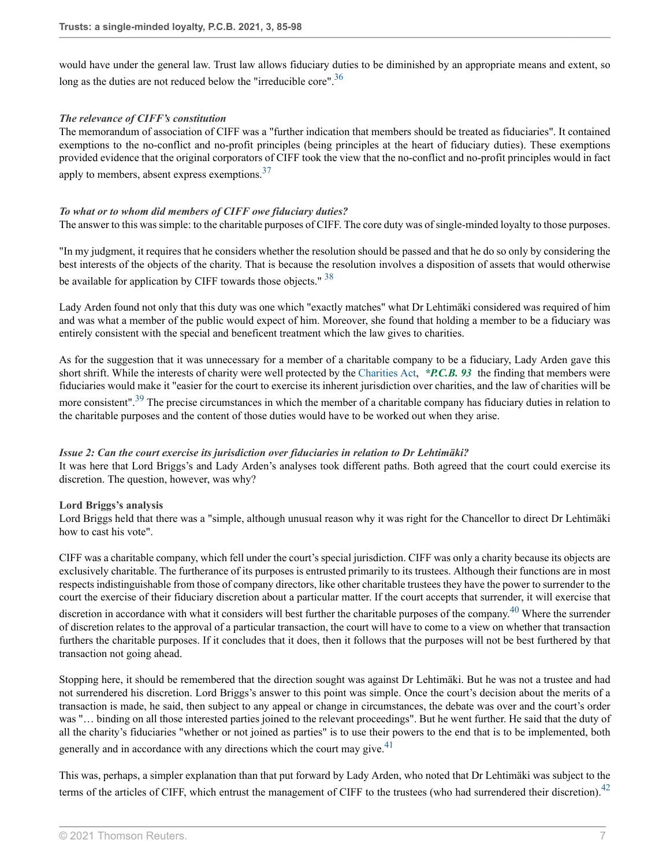<span id="page-6-0"></span>would have under the general law. Trust law allows fiduciary duties to be diminished by an appropriate means and extent, so long as the duties are not reduced below the "irreducible core".<sup>[36](#page-12-15)</sup>

## *The relevance of CIFF's constitution*

<span id="page-6-1"></span>The memorandum of association of CIFF was a "further indication that members should be treated as fiduciaries". It contained exemptions to the no-conflict and no-profit principles (being principles at the heart of fiduciary duties). These exemptions provided evidence that the original corporators of CIFF took the view that the no-conflict and no-profit principles would in fact apply to members, absent express exemptions.[37](#page-12-16)

## *To what or to whom did members of CIFF owe fiduciary duties?*

The answer to this was simple: to the charitable purposes of CIFF. The core duty was of single-minded loyalty to those purposes.

<span id="page-6-2"></span>"In my judgment, it requires that he considers whether the resolution should be passed and that he do so only by considering the best interests of the objects of the charity. That is because the resolution involves a disposition of assets that would otherwise be available for application by CIFF towards those objects."  $38$ 

Lady Arden found not only that this duty was one which "exactly matches" what Dr Lehtimäki considered was required of him and was what a member of the public would expect of him. Moreover, she found that holding a member to be a fiduciary was entirely consistent with the special and beneficent treatment which the law gives to charities.

As for the suggestion that it was unnecessary for a member of a charitable company to be a fiduciary, Lady Arden gave this short shrift. While the interests of charity were well protected by the [Charities Act](http://uk.westlaw.com/Document/I6DC8D490286D11E1AB96C6B9D162ADDD/View/FullText.html?originationContext=document&transitionType=DocumentItem&vr=3.0&rs=PLUK1.0&contextData=(sc.Search)), *\*P.C.B. 93* the finding that members were fiduciaries would make it "easier for the court to exercise its inherent jurisdiction over charities, and the law of charities will be more consistent".<sup>[39](#page-12-18)</sup> The precise circumstances in which the member of a charitable company has fiduciary duties in relation to

<span id="page-6-3"></span>the charitable purposes and the content of those duties would have to be worked out when they arise.

#### *Issue 2: Can the court exercise its jurisdiction over fiduciaries in relation to Dr Lehtimäki?*

It was here that Lord Briggs's and Lady Arden's analyses took different paths. Both agreed that the court could exercise its discretion. The question, however, was why?

#### **Lord Briggs's analysis**

Lord Briggs held that there was a "simple, although unusual reason why it was right for the Chancellor to direct Dr Lehtimäki how to cast his vote".

<span id="page-6-4"></span>CIFF was a charitable company, which fell under the court's special jurisdiction. CIFF was only a charity because its objects are exclusively charitable. The furtherance of its purposes is entrusted primarily to its trustees. Although their functions are in most respects indistinguishable from those of company directors, like other charitable trustees they have the power to surrender to the court the exercise of their fiduciary discretion about a particular matter. If the court accepts that surrender, it will exercise that discretion in accordance with what it considers will best further the charitable purposes of the company.<sup>[40](#page-12-19)</sup> Where the surrender of discretion relates to the approval of a particular transaction, the court will have to come to a view on whether that transaction furthers the charitable purposes. If it concludes that it does, then it follows that the purposes will not be best furthered by that transaction not going ahead.

Stopping here, it should be remembered that the direction sought was against Dr Lehtimäki. But he was not a trustee and had not surrendered his discretion. Lord Briggs's answer to this point was simple. Once the court's decision about the merits of a transaction is made, he said, then subject to any appeal or change in circumstances, the debate was over and the court's order was "… binding on all those interested parties joined to the relevant proceedings". But he went further. He said that the duty of all the charity's fiduciaries "whether or not joined as parties" is to use their powers to the end that is to be implemented, both generally and in accordance with any directions which the court may give.  $41$ 

<span id="page-6-6"></span><span id="page-6-5"></span>This was, perhaps, a simpler explanation than that put forward by Lady Arden, who noted that Dr Lehtimäki was subject to the terms of the articles of CIFF, which entrust the management of CIFF to the trustees (who had surrendered their discretion).<sup>[42](#page-12-21)</sup>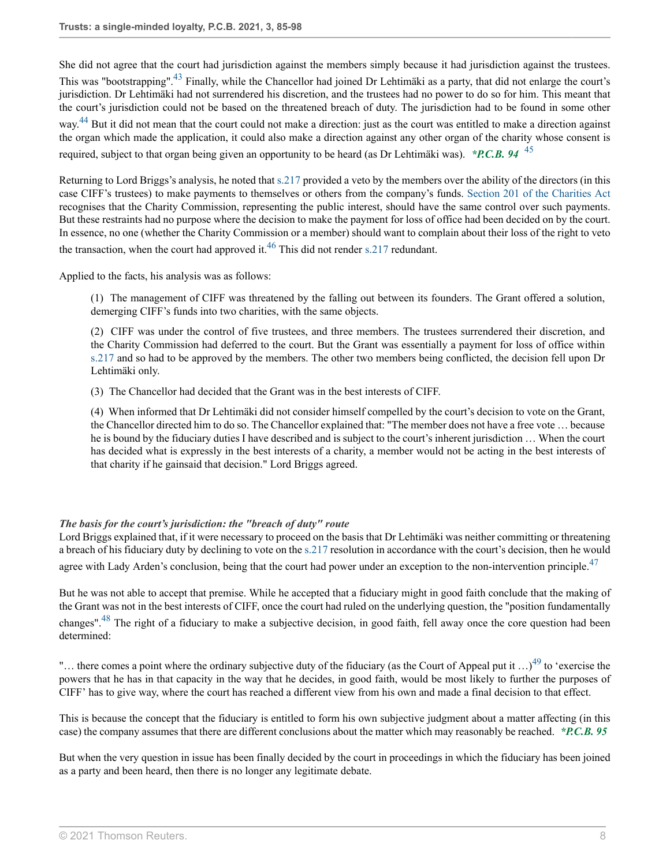She did not agree that the court had jurisdiction against the members simply because it had jurisdiction against the trustees.

<span id="page-7-1"></span><span id="page-7-0"></span>This was "bootstrapping".<sup>[43](#page-12-22)</sup> Finally, while the Chancellor had joined Dr Lehtimäki as a party, that did not enlarge the court's jurisdiction. Dr Lehtimäki had not surrendered his discretion, and the trustees had no power to do so for him. This meant that the court's jurisdiction could not be based on the threatened breach of duty. The jurisdiction had to be found in some other way.<sup>[44](#page-13-0)</sup> But it did not mean that the court could not make a direction: just as the court was entitled to make a direction against the organ which made the application, it could also make a direction against any other organ of the charity whose consent is required, subject to that organ being given an opportunity to be heard (as Dr Lehtimäki was). *\*P.C.B. 94* [45](#page-13-1)

Returning to Lord Briggs's analysis, he noted that [s.217](http://uk.westlaw.com/Document/I5C09CA208B3311DBA1DB80994EEB92DE/View/FullText.html?originationContext=document&transitionType=DocumentItem&vr=3.0&rs=PLUK1.0&contextData=(sc.Search)) provided a veto by the members over the ability of the directors (in this case CIFF's trustees) to make payments to themselves or others from the company's funds. [Section 201 of the Charities Act](http://uk.westlaw.com/Document/IDC60E730286D11E1A263D5C4404A2137/View/FullText.html?originationContext=document&transitionType=DocumentItem&vr=3.0&rs=PLUK1.0&contextData=(sc.Search)) recognises that the Charity Commission, representing the public interest, should have the same control over such payments. But these restraints had no purpose where the decision to make the payment for loss of office had been decided on by the court. In essence, no one (whether the Charity Commission or a member) should want to complain about their loss of the right to veto the transaction, when the court had approved it.<sup>[46](#page-13-2)</sup> This did not render [s.217](http://uk.westlaw.com/Document/I5C09CA208B3311DBA1DB80994EEB92DE/View/FullText.html?originationContext=document&transitionType=DocumentItem&vr=3.0&rs=PLUK1.0&contextData=(sc.Search)) redundant.

Applied to the facts, his analysis was as follows:

<span id="page-7-3"></span><span id="page-7-2"></span>(1) The management of CIFF was threatened by the falling out between its founders. The Grant offered a solution, demerging CIFF's funds into two charities, with the same objects.

(2) CIFF was under the control of five trustees, and three members. The trustees surrendered their discretion, and the Charity Commission had deferred to the court. But the Grant was essentially a payment for loss of office within [s.217](http://uk.westlaw.com/Document/I5C09CA208B3311DBA1DB80994EEB92DE/View/FullText.html?originationContext=document&transitionType=DocumentItem&vr=3.0&rs=PLUK1.0&contextData=(sc.Search)) and so had to be approved by the members. The other two members being conflicted, the decision fell upon Dr Lehtimäki only.

(3) The Chancellor had decided that the Grant was in the best interests of CIFF.

<span id="page-7-4"></span>(4) When informed that Dr Lehtimäki did not consider himself compelled by the court's decision to vote on the Grant, the Chancellor directed him to do so. The Chancellor explained that: "The member does not have a free vote … because he is bound by the fiduciary duties I have described and is subject to the court's inherent jurisdiction … When the court has decided what is expressly in the best interests of a charity, a member would not be acting in the best interests of that charity if he gainsaid that decision." Lord Briggs agreed.

# *The basis for the court's jurisdiction: the "breach of duty" route*

Lord Briggs explained that, if it were necessary to proceed on the basis that Dr Lehtimäki was neither committing or threatening a breach of his fiduciary duty by declining to vote on the [s.217](http://uk.westlaw.com/Document/I5C09CA208B3311DBA1DB80994EEB92DE/View/FullText.html?originationContext=document&transitionType=DocumentItem&vr=3.0&rs=PLUK1.0&contextData=(sc.Search)) resolution in accordance with the court's decision, then he would agree with Lady Arden's conclusion, being that the court had power under an exception to the non-intervention principle. $47$ 

<span id="page-7-5"></span>But he was not able to accept that premise. While he accepted that a fiduciary might in good faith conclude that the making of the Grant was not in the best interests of CIFF, once the court had ruled on the underlying question, the "position fundamentally changes".[48](#page-13-4) The right of a fiduciary to make a subjective decision, in good faith, fell away once the core question had been determined:

<span id="page-7-6"></span>"... there comes a point where the ordinary subjective duty of the fiduciary (as the Court of Appeal put it  $\ldots$ )<sup>[49](#page-13-5)</sup> to 'exercise the powers that he has in that capacity in the way that he decides, in good faith, would be most likely to further the purposes of CIFF' has to give way, where the court has reached a different view from his own and made a final decision to that effect.

This is because the concept that the fiduciary is entitled to form his own subjective judgment about a matter affecting (in this case) the company assumes that there are different conclusions about the matter which may reasonably be reached. *\*P.C.B. 95*

But when the very question in issue has been finally decided by the court in proceedings in which the fiduciary has been joined as a party and been heard, then there is no longer any legitimate debate.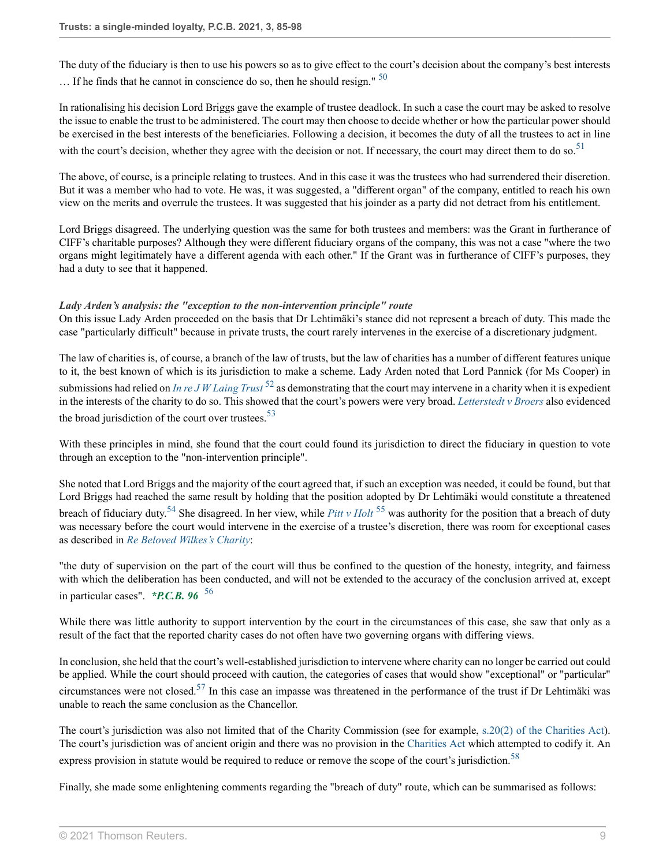<span id="page-8-0"></span>The duty of the fiduciary is then to use his powers so as to give effect to the court's decision about the company's best interests  $\ldots$  If he finds that he cannot in conscience do so, then he should resign."  $50$ 

In rationalising his decision Lord Briggs gave the example of trustee deadlock. In such a case the court may be asked to resolve the issue to enable the trust to be administered. The court may then choose to decide whether or how the particular power should be exercised in the best interests of the beneficiaries. Following a decision, it becomes the duty of all the trustees to act in line with the court's decision, whether they agree with the decision or not. If necessary, the court may direct them to do so.<sup>[51](#page-13-7)</sup>

<span id="page-8-1"></span>The above, of course, is a principle relating to trustees. And in this case it was the trustees who had surrendered their discretion. But it was a member who had to vote. He was, it was suggested, a "different organ" of the company, entitled to reach his own view on the merits and overrule the trustees. It was suggested that his joinder as a party did not detract from his entitlement.

Lord Briggs disagreed. The underlying question was the same for both trustees and members: was the Grant in furtherance of CIFF's charitable purposes? Although they were different fiduciary organs of the company, this was not a case "where the two organs might legitimately have a different agenda with each other." If the Grant was in furtherance of CIFF's purposes, they had a duty to see that it happened.

# *Lady Arden's analysis: the "exception to the non-intervention principle" route*

On this issue Lady Arden proceeded on the basis that Dr Lehtimäki's stance did not represent a breach of duty. This made the case "particularly difficult" because in private trusts, the court rarely intervenes in the exercise of a discretionary judgment.

<span id="page-8-2"></span>The law of charities is, of course, a branch of the law of trusts, but the law of charities has a number of different features unique to it, the best known of which is its jurisdiction to make a scheme. Lady Arden noted that Lord Pannick (for Ms Cooper) in submissions had relied on *[In re J W Laing Trust](http://uk.westlaw.com/Document/ID141AA50E42711DA8FC2A0F0355337E9/View/FullText.html?originationContext=document&transitionType=DocumentItem&vr=3.0&rs=PLUK1.0&contextData=(sc.Search))* [52](#page-13-8) as demonstrating that the court may intervene in a charity when it is expedient in the interests of the charity to do so. This showed that the court's powers were very broad. *[Letterstedt v Broers](http://uk.westlaw.com/Document/IE040C6D0E42711DA8FC2A0F0355337E9/View/FullText.html?originationContext=document&transitionType=DocumentItem&vr=3.0&rs=PLUK1.0&contextData=(sc.Search))* also evidenced the broad jurisdiction of the court over trustees.  $53$ 

<span id="page-8-3"></span>With these principles in mind, she found that the court could found its jurisdiction to direct the fiduciary in question to vote through an exception to the "non-intervention principle".

<span id="page-8-5"></span><span id="page-8-4"></span>She noted that Lord Briggs and the majority of the court agreed that, if such an exception was needed, it could be found, but that Lord Briggs had reached the same result by holding that the position adopted by Dr Lehtimäki would constitute a threatened breach of fiduciary duty.<sup>[54](#page-13-10)</sup> She disagreed. In her view, while *[Pitt v Holt](http://uk.westlaw.com/Document/I2E0547A0B90111E2B8BBAF2FDC14F8B2/View/FullText.html?originationContext=document&transitionType=DocumentItem&vr=3.0&rs=PLUK1.0&contextData=(sc.Search))* <sup>[55](#page-13-11)</sup> was authority for the position that a breach of duty was necessary before the court would intervene in the exercise of a trustee's discretion, there was room for exceptional cases as described in *[Re Beloved Wilkes's Charity](http://uk.westlaw.com/Document/IEE8410F007AE11DE9676A46D1D46EFC9/View/FullText.html?originationContext=document&transitionType=DocumentItem&vr=3.0&rs=PLUK1.0&contextData=(sc.Search))*:

<span id="page-8-6"></span>"the duty of supervision on the part of the court will thus be confined to the question of the honesty, integrity, and fairness with which the deliberation has been conducted, and will not be extended to the accuracy of the conclusion arrived at, except in particular cases". *\*P.C.B. 96* [56](#page-13-12)

While there was little authority to support intervention by the court in the circumstances of this case, she saw that only as a result of the fact that the reported charity cases do not often have two governing organs with differing views.

<span id="page-8-7"></span>In conclusion, she held that the court's well-established jurisdiction to intervene where charity can no longer be carried out could be applied. While the court should proceed with caution, the categories of cases that would show "exceptional" or "particular" circumstances were not closed.<sup>[57](#page-13-13)</sup> In this case an impasse was threatened in the performance of the trust if Dr Lehtimäki was unable to reach the same conclusion as the Chancellor.

<span id="page-8-8"></span>The court's jurisdiction was also not limited that of the Charity Commission (see for example, [s.20\(2\) of the Charities Act](http://uk.westlaw.com/Document/IDC24EFA1286D11E1A263D5C4404A2137/View/FullText.html?originationContext=document&transitionType=DocumentItem&vr=3.0&rs=PLUK1.0&contextData=(sc.Search))). The court's jurisdiction was of ancient origin and there was no provision in the [Charities Act](http://uk.westlaw.com/Document/I6DC8D490286D11E1AB96C6B9D162ADDD/View/FullText.html?originationContext=document&transitionType=DocumentItem&vr=3.0&rs=PLUK1.0&contextData=(sc.Search)) which attempted to codify it. An express provision in statute would be required to reduce or remove the scope of the court's iurisdiction.<sup>[58](#page-13-14)</sup>

Finally, she made some enlightening comments regarding the "breach of duty" route, which can be summarised as follows: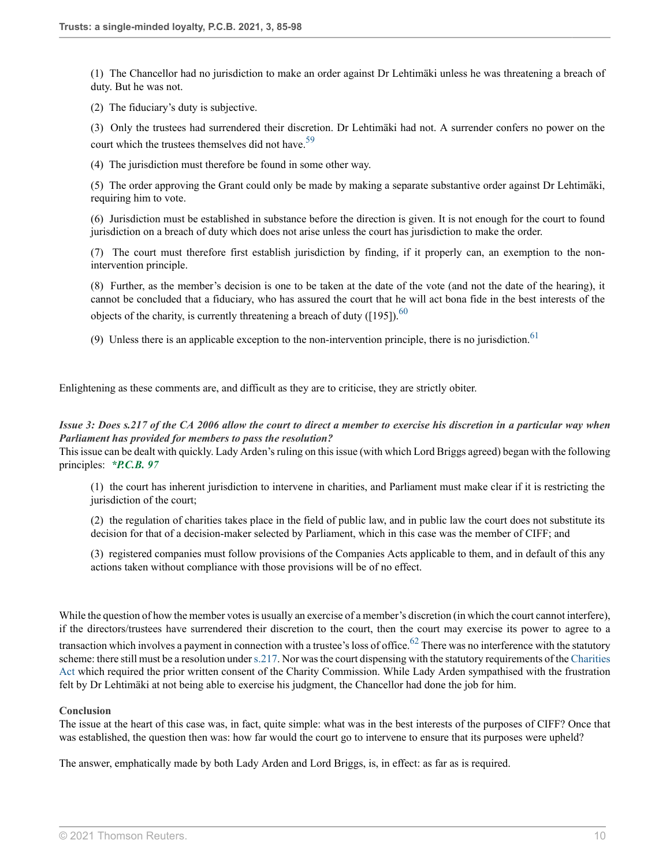(1) The Chancellor had no jurisdiction to make an order against Dr Lehtimäki unless he was threatening a breach of duty. But he was not.

(2) The fiduciary's duty is subjective.

<span id="page-9-0"></span>(3) Only the trustees had surrendered their discretion. Dr Lehtimäki had not. A surrender confers no power on the court which the trustees themselves did not have.<sup>[59](#page-13-15)</sup>

(4) The jurisdiction must therefore be found in some other way.

(5) The order approving the Grant could only be made by making a separate substantive order against Dr Lehtimäki, requiring him to vote.

(6) Jurisdiction must be established in substance before the direction is given. It is not enough for the court to found jurisdiction on a breach of duty which does not arise unless the court has jurisdiction to make the order.

(7) The court must therefore first establish jurisdiction by finding, if it properly can, an exemption to the nonintervention principle.

<span id="page-9-1"></span>(8) Further, as the member's decision is one to be taken at the date of the vote (and not the date of the hearing), it cannot be concluded that a fiduciary, who has assured the court that he will act bona fide in the best interests of the objects of the charity, is currently threatening a breach of duty ([195]).<sup>[60](#page-13-16)</sup>

<span id="page-9-2"></span>(9) Unless there is an applicable exception to the non-intervention principle, there is no jurisdiction.<sup>[61](#page-13-17)</sup>

Enlightening as these comments are, and difficult as they are to criticise, they are strictly obiter.

## *Issue 3: Does s.217 of the CA 2006 allow the court to direct a member to exercise his discretion in a particular way when Parliament has provided for members to pass the resolution?*

This issue can be dealt with quickly. Lady Arden's ruling on this issue (with which Lord Briggs agreed) began with the following principles: *\*P.C.B. 97*

(1) the court has inherent jurisdiction to intervene in charities, and Parliament must make clear if it is restricting the jurisdiction of the court;

(2) the regulation of charities takes place in the field of public law, and in public law the court does not substitute its decision for that of a decision-maker selected by Parliament, which in this case was the member of CIFF; and

<span id="page-9-3"></span>(3) registered companies must follow provisions of the Companies Acts applicable to them, and in default of this any actions taken without compliance with those provisions will be of no effect.

While the question of how the member votes is usually an exercise of a member's discretion (in which the court cannot interfere), if the directors/trustees have surrendered their discretion to the court, then the court may exercise its power to agree to a

transaction which involves a payment in connection with a trustee's loss of office.<sup>[62](#page-13-18)</sup> There was no interference with the statutory scheme: there still must be a resolution under [s.217.](http://uk.westlaw.com/Document/I5C09CA208B3311DBA1DB80994EEB92DE/View/FullText.html?originationContext=document&transitionType=DocumentItem&vr=3.0&rs=PLUK1.0&contextData=(sc.Search)) Nor was the court dispensing with the statutory requirements of the [Charities](http://uk.westlaw.com/Document/I6DC8D490286D11E1AB96C6B9D162ADDD/View/FullText.html?originationContext=document&transitionType=DocumentItem&vr=3.0&rs=PLUK1.0&contextData=(sc.Search)) [Act](http://uk.westlaw.com/Document/I6DC8D490286D11E1AB96C6B9D162ADDD/View/FullText.html?originationContext=document&transitionType=DocumentItem&vr=3.0&rs=PLUK1.0&contextData=(sc.Search)) which required the prior written consent of the Charity Commission. While Lady Arden sympathised with the frustration felt by Dr Lehtimäki at not being able to exercise his judgment, the Chancellor had done the job for him.

#### **Conclusion**

The issue at the heart of this case was, in fact, quite simple: what was in the best interests of the purposes of CIFF? Once that was established, the question then was: how far would the court go to intervene to ensure that its purposes were upheld?

The answer, emphatically made by both Lady Arden and Lord Briggs, is, in effect: as far as is required.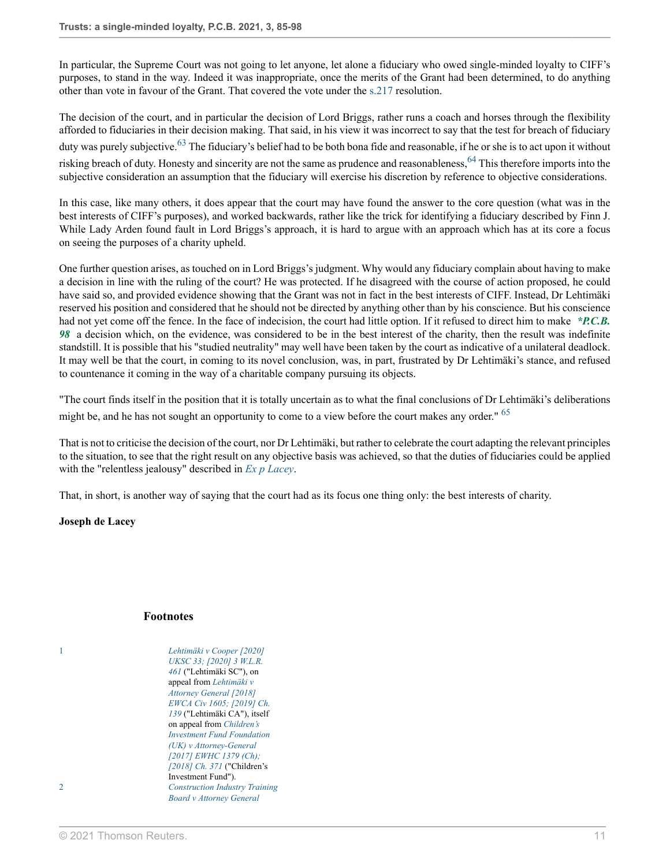In particular, the Supreme Court was not going to let anyone, let alone a fiduciary who owed single-minded loyalty to CIFF's purposes, to stand in the way. Indeed it was inappropriate, once the merits of the Grant had been determined, to do anything other than vote in favour of the Grant. That covered the vote under the [s.217](http://uk.westlaw.com/Document/I5C09CA208B3311DBA1DB80994EEB92DE/View/FullText.html?originationContext=document&transitionType=DocumentItem&vr=3.0&rs=PLUK1.0&contextData=(sc.Search)) resolution.

<span id="page-10-3"></span><span id="page-10-2"></span>The decision of the court, and in particular the decision of Lord Briggs, rather runs a coach and horses through the flexibility afforded to fiduciaries in their decision making. That said, in his view it was incorrect to say that the test for breach of fiduciary duty was purely subjective.<sup>[63](#page-13-19)</sup> The fiduciary's belief had to be both bona fide and reasonable, if he or she is to act upon it without risking breach of duty. Honesty and sincerity are not the same as prudence and reasonableness,<sup>[64](#page-13-20)</sup> This therefore imports into the subjective consideration an assumption that the fiduciary will exercise his discretion by reference to objective considerations.

In this case, like many others, it does appear that the court may have found the answer to the core question (what was in the best interests of CIFF's purposes), and worked backwards, rather like the trick for identifying a fiduciary described by Finn J. While Lady Arden found fault in Lord Briggs's approach, it is hard to argue with an approach which has at its core a focus on seeing the purposes of a charity upheld.

One further question arises, as touched on in Lord Briggs's judgment. Why would any fiduciary complain about having to make a decision in line with the ruling of the court? He was protected. If he disagreed with the course of action proposed, he could have said so, and provided evidence showing that the Grant was not in fact in the best interests of CIFF. Instead, Dr Lehtimäki reserved his position and considered that he should not be directed by anything other than by his conscience. But his conscience had not yet come off the fence. In the face of indecision, the court had little option. If it refused to direct him to make *\*P.C.B. 98* a decision which, on the evidence, was considered to be in the best interest of the charity, then the result was indefinite standstill. It is possible that his "studied neutrality" may well have been taken by the court as indicative of a unilateral deadlock. It may well be that the court, in coming to its novel conclusion, was, in part, frustrated by Dr Lehtimäki's stance, and refused to countenance it coming in the way of a charitable company pursuing its objects.

"The court finds itself in the position that it is totally uncertain as to what the final conclusions of Dr Lehtimäki's deliberations might be, and he has not sought an opportunity to come to a view before the court makes any order." <sup>[65](#page-13-21)</sup>

That is not to criticise the decision of the court, nor Dr Lehtimäki, but rather to celebrate the court adapting the relevant principles to the situation, to see that the right result on any objective basis was achieved, so that the duties of fiduciaries could be applied with the "relentless jealousy" described in *[Ex p Lacey](http://uk.westlaw.com/Document/I9BAC8461BA8A11DC8D6887EE04E6D194/View/FullText.html?originationContext=document&transitionType=DocumentItem&vr=3.0&rs=PLUK1.0&contextData=(sc.Search))*.

That, in short, is another way of saying that the court had as its focus one thing only: the best interests of charity.

**Joseph de Lacey**

#### <span id="page-10-4"></span>**Footnotes**

<span id="page-10-1"></span><span id="page-10-0"></span>[1](#page-0-0) *[Lehtimäki v Cooper \[2020\]](http://uk.westlaw.com/Document/IC5AF2C40D19711EABFC1E47CD76B7CE5/View/FullText.html?originationContext=document&transitionType=DocumentItem&vr=3.0&rs=PLUK1.0&contextData=(sc.Search)) [UKSC 33; \[2020\] 3 W.L.R.](http://uk.westlaw.com/Document/IC5AF2C40D19711EABFC1E47CD76B7CE5/View/FullText.html?originationContext=document&transitionType=DocumentItem&vr=3.0&rs=PLUK1.0&contextData=(sc.Search)) [461](http://uk.westlaw.com/Document/IC5AF2C40D19711EABFC1E47CD76B7CE5/View/FullText.html?originationContext=document&transitionType=DocumentItem&vr=3.0&rs=PLUK1.0&contextData=(sc.Search))* ("Lehtimäki SC"), on appeal from *[Lehtimäki v](http://uk.westlaw.com/Document/I39A5F470810F11E8A91CCBA431042A5A/View/FullText.html?originationContext=document&transitionType=DocumentItem&vr=3.0&rs=PLUK1.0&contextData=(sc.Search)) [Attorney General \[2018\]](http://uk.westlaw.com/Document/I39A5F470810F11E8A91CCBA431042A5A/View/FullText.html?originationContext=document&transitionType=DocumentItem&vr=3.0&rs=PLUK1.0&contextData=(sc.Search)) [EWCA Civ 1605; \[2019\] Ch.](http://uk.westlaw.com/Document/I39A5F470810F11E8A91CCBA431042A5A/View/FullText.html?originationContext=document&transitionType=DocumentItem&vr=3.0&rs=PLUK1.0&contextData=(sc.Search)) [139](http://uk.westlaw.com/Document/I39A5F470810F11E8A91CCBA431042A5A/View/FullText.html?originationContext=document&transitionType=DocumentItem&vr=3.0&rs=PLUK1.0&contextData=(sc.Search))* ("Lehtimäki CA"), itself on appeal from *[Children's](http://uk.westlaw.com/Document/IE6004B904F4B11E7968EE44463F4D839/View/FullText.html?originationContext=document&transitionType=DocumentItem&vr=3.0&rs=PLUK1.0&contextData=(sc.Search)) [Investment Fund Foundation](http://uk.westlaw.com/Document/IE6004B904F4B11E7968EE44463F4D839/View/FullText.html?originationContext=document&transitionType=DocumentItem&vr=3.0&rs=PLUK1.0&contextData=(sc.Search)) [\(UK\) v Attorney-General](http://uk.westlaw.com/Document/IE6004B904F4B11E7968EE44463F4D839/View/FullText.html?originationContext=document&transitionType=DocumentItem&vr=3.0&rs=PLUK1.0&contextData=(sc.Search)) [\[2017\] EWHC 1379 \(Ch\);](http://uk.westlaw.com/Document/IE6004B904F4B11E7968EE44463F4D839/View/FullText.html?originationContext=document&transitionType=DocumentItem&vr=3.0&rs=PLUK1.0&contextData=(sc.Search)) [\[2018\] Ch. 371](http://uk.westlaw.com/Document/IE6004B904F4B11E7968EE44463F4D839/View/FullText.html?originationContext=document&transitionType=DocumentItem&vr=3.0&rs=PLUK1.0&contextData=(sc.Search))* ("Children's Investment Fund"). [2](#page-0-1) *[Construction Industry Training](http://uk.westlaw.com/Document/I8D6588B0E42711DA8FC2A0F0355337E9/View/FullText.html?originationContext=document&transitionType=DocumentItem&vr=3.0&rs=PLUK1.0&contextData=(sc.Search)) [Board v Attorney General](http://uk.westlaw.com/Document/I8D6588B0E42711DA8FC2A0F0355337E9/View/FullText.html?originationContext=document&transitionType=DocumentItem&vr=3.0&rs=PLUK1.0&contextData=(sc.Search))*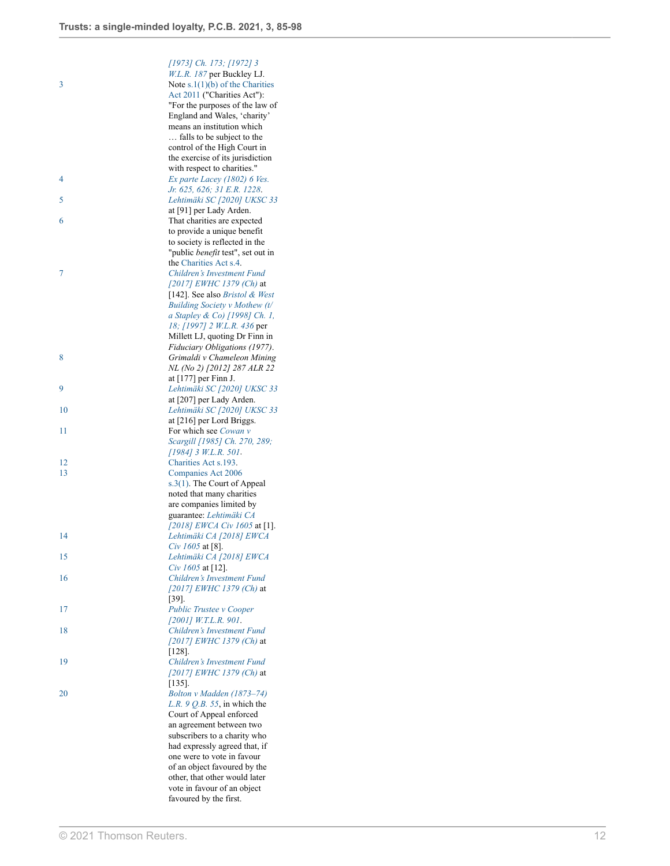<span id="page-11-17"></span><span id="page-11-16"></span><span id="page-11-15"></span><span id="page-11-14"></span><span id="page-11-13"></span><span id="page-11-12"></span><span id="page-11-11"></span><span id="page-11-10"></span><span id="page-11-9"></span><span id="page-11-8"></span><span id="page-11-7"></span><span id="page-11-6"></span><span id="page-11-5"></span><span id="page-11-4"></span><span id="page-11-3"></span><span id="page-11-2"></span><span id="page-11-1"></span><span id="page-11-0"></span>

|    | [1973] Ch. 173; [1972] 3                              |
|----|-------------------------------------------------------|
|    | W.L.R. 187 per Buckley LJ.                            |
|    |                                                       |
| 3  | Note $s.1(1)(b)$ of the Charities                     |
|    | Act 2011 ("Charities Act"):                           |
|    | "For the purposes of the law of                       |
|    |                                                       |
|    | England and Wales, 'charity'                          |
|    | means an institution which                            |
|    |                                                       |
|    | falls to be subject to the                            |
|    | control of the High Court in                          |
|    | the exercise of its jurisdiction                      |
|    |                                                       |
|    | with respect to charities."                           |
| 4  | Ex parte Lacey (1802) 6 Ves.                          |
|    | Jr. 625, 626; 31 E.R. 1228.                           |
|    |                                                       |
| 5  | Lehtimäki SC [2020] UKSC 33                           |
|    | at [91] per Lady Arden.                               |
|    |                                                       |
| 6  | That charities are expected                           |
|    | to provide a unique benefit                           |
|    | to society is reflected in the                        |
|    |                                                       |
|    | "public <i>benefit</i> test", set out in              |
|    | the Charities Act s.4.                                |
| 7  | Children's Investment Fund                            |
|    |                                                       |
|    | [2017] EWHC 1379 (Ch) at                              |
|    | [142]. See also Bristol & West                        |
|    |                                                       |
|    | Building Society v Mothew (t/                         |
|    | a Stapley & Co) [1998] Ch. 1,                         |
|    | 18; [1997] 2 W.L.R. 436 per                           |
|    |                                                       |
|    | Millett LJ, quoting Dr Finn in                        |
|    | Fiduciary Obligations (1977).                         |
| 8  | Grimaldi v Chameleon Mining                           |
|    |                                                       |
|    | NL (No 2) [2012] 287 ALR 22                           |
|    | at [177] per Finn J.                                  |
| 9  | Lehtimäki SC [2020] UKSC 33                           |
|    |                                                       |
|    | at [207] per Lady Arden.                              |
| 10 | Lehtimäki SC [2020] UKSC 33                           |
|    | at [216] per Lord Briggs.                             |
|    |                                                       |
| 11 | For which see Cowan v                                 |
|    | Scargill [1985] Ch. 270, 289;                         |
|    |                                                       |
|    | $[1984]$ 3 W.L.R. 501.                                |
| 12 | Charities Act s.193.                                  |
| 13 | Companies Act 2006                                    |
|    |                                                       |
|    | s.3(1). The Court of Appeal                           |
|    | noted that many charities                             |
|    | are companies limited by                              |
|    |                                                       |
|    | guarantee: Lehtimäki CA                               |
|    | [2018] EWCA Civ 1605 at [1].                          |
| 14 | Lehtimäki CA [2018] EWCA                              |
|    |                                                       |
|    |                                                       |
|    | Civ 1605 at [8].                                      |
| 15 |                                                       |
|    | Lehtimäki CA [2018] EWCA                              |
|    | Civ $1605$ at [12].                                   |
| 16 | Children's Investment Fund                            |
|    |                                                       |
|    | [2017] EWHC 1379 (Ch) at                              |
|    | $[39]$ .                                              |
| 17 | Public Trustee v Cooper                               |
|    | $[2001]$ W.T.L.R. 901.                                |
|    |                                                       |
| 18 | Children's Investment Fund                            |
|    | [2017] EWHC 1379 (Ch) at                              |
|    |                                                       |
|    | $[128]$ .                                             |
| 19 | Children's Investment Fund                            |
|    | [2017] EWHC 1379 (Ch) at                              |
|    | $[135]$ .                                             |
|    |                                                       |
| 20 | Bolton v Madden (1873-74)                             |
|    | L.R. $9$ Q.B. 55, in which the                        |
|    |                                                       |
|    | Court of Appeal enforced                              |
|    | an agreement between two                              |
|    | subscribers to a charity who                          |
|    |                                                       |
|    | had expressly agreed that, if                         |
|    | one were to vote in favour                            |
|    | of an object favoured by the                          |
|    |                                                       |
|    | other, that other would later                         |
|    | vote in favour of an object<br>favoured by the first. |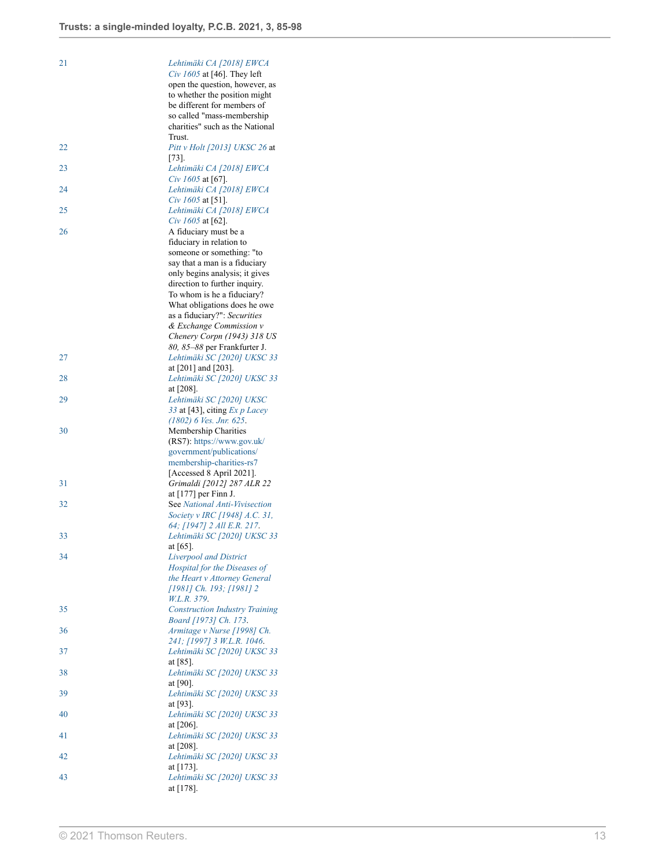<span id="page-12-22"></span><span id="page-12-21"></span><span id="page-12-20"></span><span id="page-12-19"></span><span id="page-12-18"></span><span id="page-12-17"></span><span id="page-12-16"></span><span id="page-12-15"></span><span id="page-12-14"></span><span id="page-12-13"></span><span id="page-12-12"></span><span id="page-12-11"></span><span id="page-12-10"></span><span id="page-12-9"></span><span id="page-12-8"></span><span id="page-12-7"></span><span id="page-12-6"></span><span id="page-12-5"></span><span id="page-12-4"></span><span id="page-12-3"></span><span id="page-12-2"></span><span id="page-12-1"></span><span id="page-12-0"></span>

| 21 | Lehtimäki CA [2018] EWCA                    |
|----|---------------------------------------------|
|    | Civ 1605 at [46]. They left                 |
|    | open the question, however, as              |
|    | to whether the position might               |
|    | be different for members of                 |
|    | so called "mass-membership"                 |
|    | charities" such as the National             |
|    | Trust.                                      |
| 22 | Pitt v Holt [2013] UKSC 26 at               |
|    | $ 73 $ .                                    |
| 23 | Lehtimäki CA [2018] EWCA                    |
|    | Civ $1605$ at [67].                         |
| 24 | Lehtimäki CA [2018] EWCA                    |
|    | Civ $1605$ at [51].                         |
| 25 | Lehtimäki CA [2018] EWCA                    |
|    | Civ $1605$ at [62].                         |
| 26 | A fiduciary must be a                       |
|    | fiduciary in relation to                    |
|    | someone or something: "to                   |
|    | say that a man is a fiduciary               |
|    | only begins analysis; it gives              |
|    |                                             |
|    | direction to further inquiry.               |
|    | To whom is he a fiduciary?                  |
|    | What obligations does he owe                |
|    | as a fiduciary?": Securities                |
|    | & Exchange Commission v                     |
|    | Chenery Corpn (1943) 318 US                 |
|    | 80, 85-88 per Frankfurter J.                |
| 27 | Lehtimäki SC [2020] UKSC 33                 |
|    | at $[201]$ and $[203]$ .                    |
| 28 | Lehtimäki SC [2020] UKSC 33                 |
|    | at $[208]$ .                                |
| 29 | Lehtimäki SC [2020] UKSC                    |
|    | 33 at [43], citing $Ex\ p\ Lacey$           |
|    | $(1802)$ 6 Ves. Jnr. 625.                   |
| 30 | Membership Charities                        |
|    | (RS7): https://www.gov.uk/                  |
|    | government/publications/                    |
|    | membership-charities-rs7                    |
|    | [Accessed 8 April 2021].                    |
| 31 | Grimaldi [2012] 287 ALR 22                  |
|    | at $[177]$ per Finn J.                      |
| 32 | See National Anti-Vivisection               |
|    | Society v IRC [1948] A.C. 31,               |
|    | 64; [1947] 2 All E.R. 217.                  |
| 33 | Lehtimäki SC [2020] UKSC 33                 |
|    | at $[65]$ .                                 |
| 34 | <b>Liverpool</b> and District               |
|    | Hospital for the Diseases of                |
|    | the Heart v Attorney General                |
|    | [1981] Ch. 193; [1981] 2                    |
|    | W.L.R. 379.                                 |
| 35 | <b>Construction Industry Training</b>       |
|    | Board [1973] Ch. 173.                       |
| 36 | Armitage v Nurse [1998] Ch.                 |
|    | 241; [1997] 3 W.L.R. 1046.                  |
| 37 | Lehtimäki SC [2020] UKSC 33                 |
|    | at $[85]$ .                                 |
| 38 | Lehtimäki SC [2020] UKSC 33                 |
|    | at $[90]$ .                                 |
| 39 | Lehtimäki SC [2020] UKSC 33                 |
|    | at $[93]$ .                                 |
| 40 | Lehtimäki SC [2020] UKSC 33                 |
|    | at $[206]$ .                                |
|    | Lehtimäki SC [2020] UKSC 33                 |
| 41 |                                             |
|    |                                             |
|    | at $[208]$ .                                |
| 42 | Lehtimäki SC [2020] UKSC 33                 |
|    | at $[173]$ .                                |
| 43 | Lehtimäki SC [2020] UKSC 33<br>at $[178]$ . |